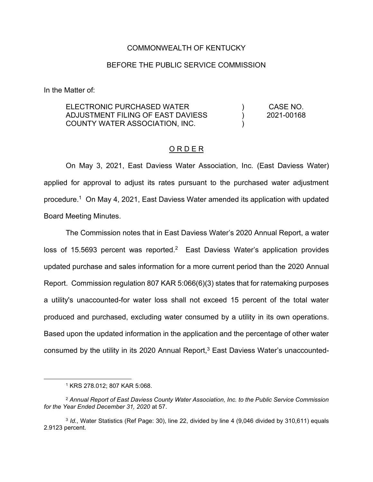#### COMMONWEALTH OF KENTUCKY

#### BEFORE THE PUBLIC SERVICE COMMISSION

In the Matter of:

ELECTRONIC PURCHASED WATER ADJUSTMENT FILING OF EAST DAVIESS COUNTY WATER ASSOCIATION, INC. ) ) ) CASE NO. 2021-00168

#### O R D E R

On May 3, 2021, East Daviess Water Association, Inc. (East Daviess Water) applied for approval to adjust its rates pursuant to the purchased water adjustment procedure.1 On May 4, 2021, East Daviess Water amended its application with updated Board Meeting Minutes.

The Commission notes that in East Daviess Water's 2020 Annual Report, a water loss of 15.5693 percent was reported.<sup>2</sup> East Daviess Water's application provides updated purchase and sales information for a more current period than the 2020 Annual Report. Commission regulation 807 KAR 5:066(6)(3) states that for ratemaking purposes a utility's unaccounted-for water loss shall not exceed 15 percent of the total water produced and purchased, excluding water consumed by a utility in its own operations. Based upon the updated information in the application and the percentage of other water consumed by the utility in its 2020 Annual Report,<sup>3</sup> East Daviess Water's unaccounted-

<sup>1</sup> KRS 278.012; 807 KAR 5:068.

<sup>2</sup> *Annual Report of East Daviess County Water Association, Inc. to the Public Service Commission for the Year Ended December 31, 2020* at 57.

<sup>3</sup> *Id.*, Water Statistics (Ref Page: 30), line 22, divided by line 4 (9,046 divided by 310,611) equals 2.9123 percent.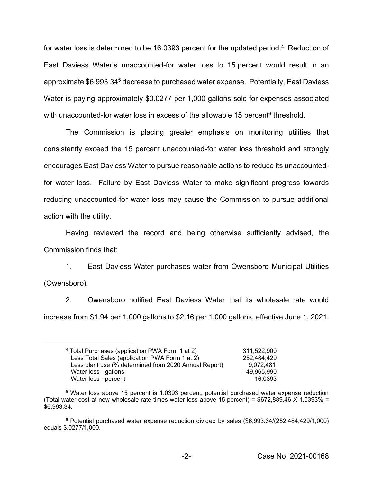for water loss is determined to be 16.0393 percent for the updated period.<sup>4</sup> Reduction of East Daviess Water's unaccounted-for water loss to 15 percent would result in an approximate \$6,993.345 decrease to purchased water expense. Potentially, East Daviess Water is paying approximately \$0.0277 per 1,000 gallons sold for expenses associated with unaccounted-for water loss in excess of the allowable 15 percent<sup>6</sup> threshold.

The Commission is placing greater emphasis on monitoring utilities that consistently exceed the 15 percent unaccounted-for water loss threshold and strongly encourages East Daviess Water to pursue reasonable actions to reduce its unaccountedfor water loss. Failure by East Daviess Water to make significant progress towards reducing unaccounted-for water loss may cause the Commission to pursue additional action with the utility.

Having reviewed the record and being otherwise sufficiently advised, the Commission finds that:

1. East Daviess Water purchases water from Owensboro Municipal Utilities (Owensboro).

2. Owensboro notified East Daviess Water that its wholesale rate would increase from \$1.94 per 1,000 gallons to \$2.16 per 1,000 gallons, effective June 1, 2021.

| <sup>4</sup> Total Purchases (application PWA Form 1 at 2) | 311.522.900 |
|------------------------------------------------------------|-------------|
| Less Total Sales (application PWA Form 1 at 2)             | 252.484.429 |
| Less plant use (% determined from 2020 Annual Report)      | 9.072.481   |
| Water loss - gallons                                       | 49.965.990  |
| Water loss - percent                                       | 16.0393     |

<sup>5</sup> Water loss above 15 percent is 1.0393 percent, potential purchased water expense reduction (Total water cost at new wholesale rate times water loss above 15 percent) =  $$672,889.46$  X 1.0393% = \$6,993.34.

<sup>6</sup> Potential purchased water expense reduction divided by sales (\$6,993.34/(252,484,429/1,000) equals \$.0277/1,000.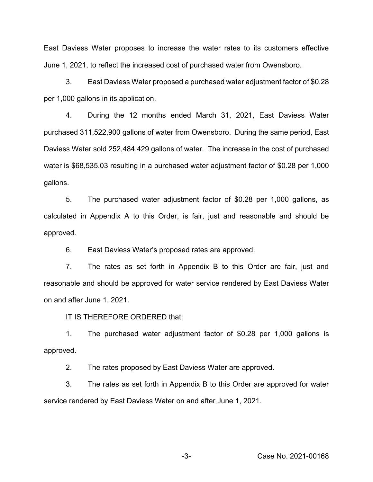East Daviess Water proposes to increase the water rates to its customers effective June 1, 2021, to reflect the increased cost of purchased water from Owensboro.

3. East Daviess Water proposed a purchased water adjustment factor of \$0.28 per 1,000 gallons in its application.

4. During the 12 months ended March 31, 2021, East Daviess Water purchased 311,522,900 gallons of water from Owensboro. During the same period, East Daviess Water sold 252,484,429 gallons of water. The increase in the cost of purchased water is \$68,535.03 resulting in a purchased water adjustment factor of \$0.28 per 1,000 gallons.

5. The purchased water adjustment factor of \$0.28 per 1,000 gallons, as calculated in Appendix A to this Order, is fair, just and reasonable and should be approved.

6. East Daviess Water's proposed rates are approved.

7. The rates as set forth in Appendix B to this Order are fair, just and reasonable and should be approved for water service rendered by East Daviess Water on and after June 1, 2021.

IT IS THEREFORE ORDERED that:

1. The purchased water adjustment factor of \$0.28 per 1,000 gallons is approved.

2. The rates proposed by East Daviess Water are approved.

3. The rates as set forth in Appendix B to this Order are approved for water service rendered by East Daviess Water on and after June 1, 2021.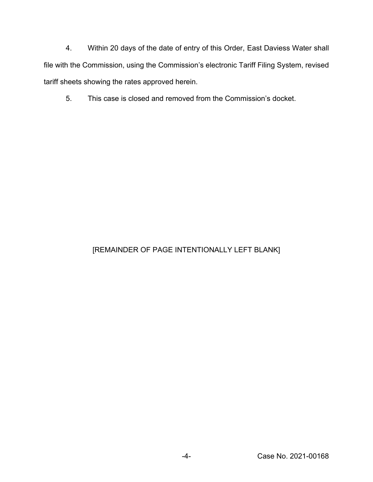4. Within 20 days of the date of entry of this Order, East Daviess Water shall file with the Commission, using the Commission's electronic Tariff Filing System, revised tariff sheets showing the rates approved herein.

5. This case is closed and removed from the Commission's docket.

# [REMAINDER OF PAGE INTENTIONALLY LEFT BLANK]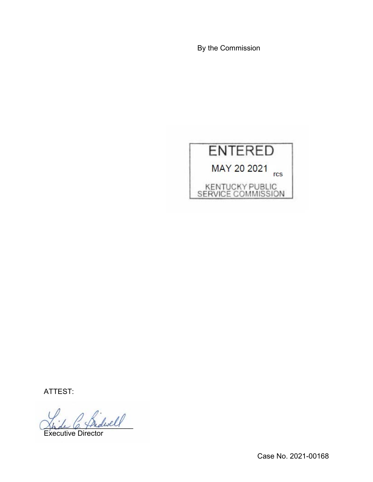By the Commission



ATTEST:

 $\ell$ 

Executive Director

Case No. 2021-00168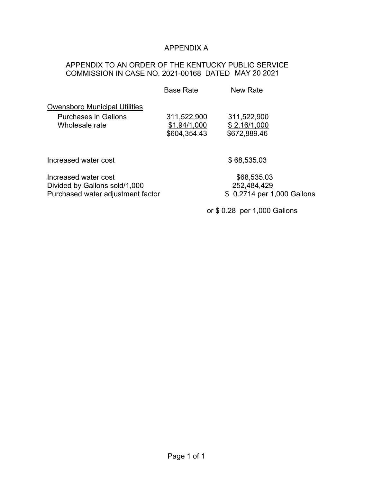## APPENDIX A

## APPENDIX TO AN ORDER OF THE KENTUCKY PUBLIC SERVICE COMMISSION IN CASE NO. 2021-00168 DATED MAY 20 2021

|                                      | <b>Base Rate</b> | <b>New Rate</b>             |
|--------------------------------------|------------------|-----------------------------|
| <b>Owensboro Municipal Utilities</b> |                  |                             |
| Purchases in Gallons                 | 311,522,900      | 311,522,900                 |
| Wholesale rate                       | \$1.94/1,000     | \$2.16/1,000                |
|                                      | \$604,354.43     | \$672,889.46                |
| Increased water cost                 |                  | \$68,535.03                 |
|                                      |                  |                             |
| Increased water cost                 |                  | \$68,535.03                 |
| Divided by Gallons sold/1,000        |                  | 252,484,429                 |
| Purchased water adjustment factor    |                  | \$ 0.2714 per 1,000 Gallons |

or \$ 0.28 per 1,000 Gallons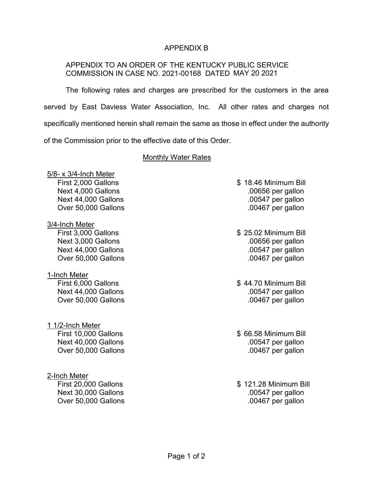## APPENDIX B

## APPENDIX TO AN ORDER OF THE KENTUCKY PUBLIC SERVICE COMMISSION IN CASE NO. 2021-00168 DATED MAY 20 2021

The following rates and charges are prescribed for the customers in the area served by East Daviess Water Association, Inc. All other rates and charges not specifically mentioned herein shall remain the same as those in effect under the authority of the Commission prior to the effective date of this Order.

### Monthly Water Rates

5/8- x 3/4-Inch Meter

3/4-Inch Meter

1-Inch Meter Next 44,000 Gallons ... **Next 44,000** Gallons ... **Next 44,000** Gallons Over 50,000 Gallons .00467 per gallon

1 1/2-Inch Meter

2-Inch Meter Over 50,000 Gallons .00467 per gallon

- First 2,000 Gallons \$ 18.46 Minimum Bill Next 4,000 Gallons ... The Contract of the Contract of the Contract of the Contract of the Contract of the Contract of the Contract of the Contract of the Contract of the Contract of the Contract of the Contract of the Con Next 44,000 Gallons ... **Next 44,000** Gallons ... **Next 44,000** Gallons Over 50,000 Gallons .00467 per gallon
- First 3,000 Gallons \$ 25.02 Minimum Bill Next 3,000 Gallons ... The Second Second Second Second Second Second Second Second Second Second Second Second S Next 44,000 Gallons ... **Next 44,000** Gallons ... **Next 44,000** Gallons Over 50,000 Gallons .00467 per gallon
- First 6,000 Gallons **\$ 44.70 Minimum Bill**

First 10,000 Gallons \$ 66.58 Minimum Bill Next 40,000 Gallons ... The set of the set of the set of the set of the set of the set of the set of the set of the set of the set of the set of the set of the set of the set of the set of the set of the set of the set of Over 50,000 Gallons .00467 per gallon

First 20,000 Gallons \$ 121.28 Minimum Bill Next 30,000 Gallons .00547 per gallon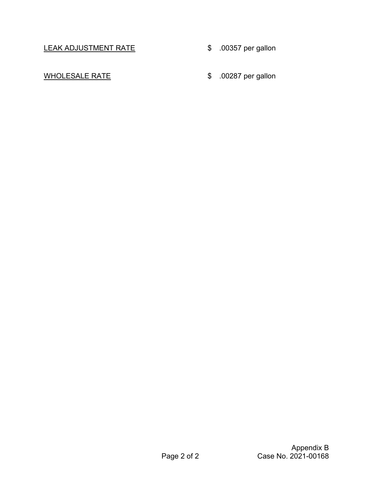LEAK ADJUSTMENT RATE \$ .00357 per gallon

- 
- WHOLESALE RATE 6 60287 per gallon